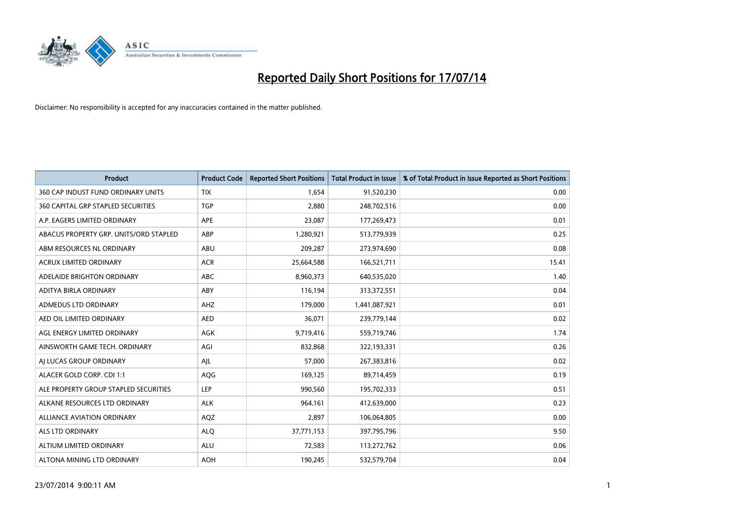

| <b>Product</b>                         | <b>Product Code</b> | <b>Reported Short Positions</b> | <b>Total Product in Issue</b> | % of Total Product in Issue Reported as Short Positions |
|----------------------------------------|---------------------|---------------------------------|-------------------------------|---------------------------------------------------------|
| 360 CAP INDUST FUND ORDINARY UNITS     | <b>TIX</b>          | 1,654                           | 91,520,230                    | 0.00                                                    |
| 360 CAPITAL GRP STAPLED SECURITIES     | <b>TGP</b>          | 2,880                           | 248,702,516                   | 0.00                                                    |
| A.P. EAGERS LIMITED ORDINARY           | APE                 | 23,087                          | 177,269,473                   | 0.01                                                    |
| ABACUS PROPERTY GRP. UNITS/ORD STAPLED | ABP                 | 1,280,921                       | 513,779,939                   | 0.25                                                    |
| ABM RESOURCES NL ORDINARY              | ABU                 | 209,287                         | 273,974,690                   | 0.08                                                    |
| <b>ACRUX LIMITED ORDINARY</b>          | <b>ACR</b>          | 25,664,588                      | 166,521,711                   | 15.41                                                   |
| ADELAIDE BRIGHTON ORDINARY             | <b>ABC</b>          | 8,960,373                       | 640,535,020                   | 1.40                                                    |
| ADITYA BIRLA ORDINARY                  | ABY                 | 116,194                         | 313,372,551                   | 0.04                                                    |
| ADMEDUS LTD ORDINARY                   | AHZ                 | 179,000                         | 1,441,087,921                 | 0.01                                                    |
| AED OIL LIMITED ORDINARY               | <b>AED</b>          | 36,071                          | 239,779,144                   | 0.02                                                    |
| AGL ENERGY LIMITED ORDINARY            | AGK                 | 9,719,416                       | 559,719,746                   | 1.74                                                    |
| AINSWORTH GAME TECH. ORDINARY          | AGI                 | 832,868                         | 322,193,331                   | 0.26                                                    |
| AI LUCAS GROUP ORDINARY                | AJL                 | 57,000                          | 267,383,816                   | 0.02                                                    |
| ALACER GOLD CORP. CDI 1:1              | AQG                 | 169,125                         | 89,714,459                    | 0.19                                                    |
| ALE PROPERTY GROUP STAPLED SECURITIES  | LEP                 | 990,560                         | 195,702,333                   | 0.51                                                    |
| ALKANE RESOURCES LTD ORDINARY          | <b>ALK</b>          | 964,161                         | 412,639,000                   | 0.23                                                    |
| ALLIANCE AVIATION ORDINARY             | AQZ                 | 2,897                           | 106,064,805                   | 0.00                                                    |
| ALS LTD ORDINARY                       | <b>ALQ</b>          | 37,771,153                      | 397,795,796                   | 9.50                                                    |
| ALTIUM LIMITED ORDINARY                | <b>ALU</b>          | 72,583                          | 113,272,762                   | 0.06                                                    |
| ALTONA MINING LTD ORDINARY             | <b>AOH</b>          | 190,245                         | 532,579,704                   | 0.04                                                    |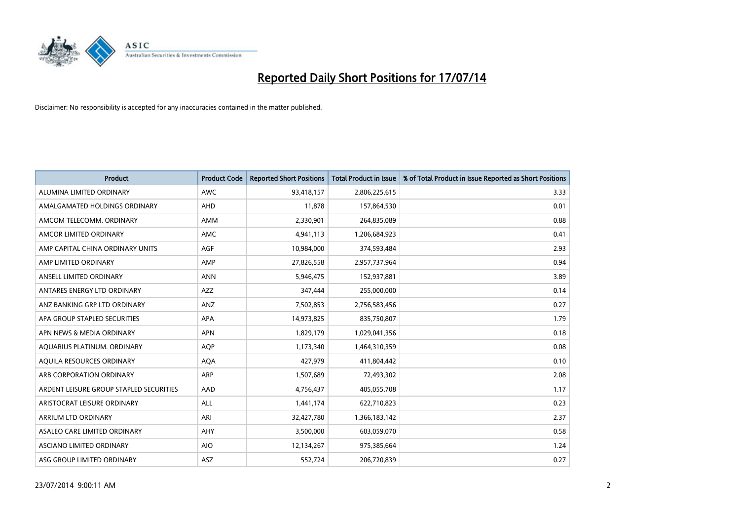

| <b>Product</b>                          | <b>Product Code</b> | <b>Reported Short Positions</b> | Total Product in Issue | % of Total Product in Issue Reported as Short Positions |
|-----------------------------------------|---------------------|---------------------------------|------------------------|---------------------------------------------------------|
| ALUMINA LIMITED ORDINARY                | <b>AWC</b>          | 93,418,157                      | 2,806,225,615          | 3.33                                                    |
| AMALGAMATED HOLDINGS ORDINARY           | <b>AHD</b>          | 11,878                          | 157,864,530            | 0.01                                                    |
| AMCOM TELECOMM. ORDINARY                | <b>AMM</b>          | 2,330,901                       | 264,835,089            | 0.88                                                    |
| AMCOR LIMITED ORDINARY                  | AMC                 | 4,941,113                       | 1,206,684,923          | 0.41                                                    |
| AMP CAPITAL CHINA ORDINARY UNITS        | AGF                 | 10,984,000                      | 374,593,484            | 2.93                                                    |
| AMP LIMITED ORDINARY                    | AMP                 | 27,826,558                      | 2,957,737,964          | 0.94                                                    |
| ANSELL LIMITED ORDINARY                 | <b>ANN</b>          | 5,946,475                       | 152,937,881            | 3.89                                                    |
| ANTARES ENERGY LTD ORDINARY             | <b>AZZ</b>          | 347,444                         | 255,000,000            | 0.14                                                    |
| ANZ BANKING GRP LTD ORDINARY            | ANZ                 | 7,502,853                       | 2,756,583,456          | 0.27                                                    |
| APA GROUP STAPLED SECURITIES            | <b>APA</b>          | 14,973,825                      | 835,750,807            | 1.79                                                    |
| APN NEWS & MEDIA ORDINARY               | <b>APN</b>          | 1,829,179                       | 1,029,041,356          | 0.18                                                    |
| AQUARIUS PLATINUM. ORDINARY             | <b>AQP</b>          | 1,173,340                       | 1,464,310,359          | 0.08                                                    |
| AQUILA RESOURCES ORDINARY               | <b>AQA</b>          | 427,979                         | 411,804,442            | 0.10                                                    |
| ARB CORPORATION ORDINARY                | <b>ARP</b>          | 1,507,689                       | 72,493,302             | 2.08                                                    |
| ARDENT LEISURE GROUP STAPLED SECURITIES | AAD                 | 4,756,437                       | 405,055,708            | 1.17                                                    |
| ARISTOCRAT LEISURE ORDINARY             | <b>ALL</b>          | 1,441,174                       | 622,710,823            | 0.23                                                    |
| ARRIUM LTD ORDINARY                     | ARI                 | 32,427,780                      | 1,366,183,142          | 2.37                                                    |
| ASALEO CARE LIMITED ORDINARY            | AHY                 | 3,500,000                       | 603,059,070            | 0.58                                                    |
| ASCIANO LIMITED ORDINARY                | <b>AIO</b>          | 12,134,267                      | 975,385,664            | 1.24                                                    |
| ASG GROUP LIMITED ORDINARY              | ASZ                 | 552,724                         | 206,720,839            | 0.27                                                    |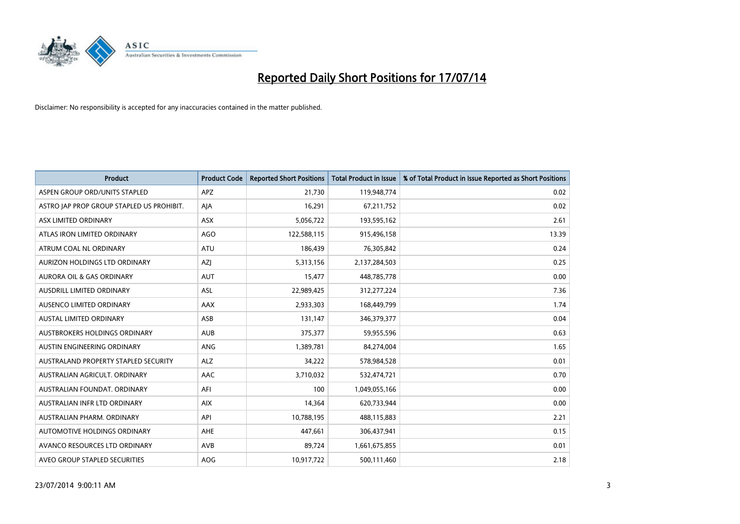

| <b>Product</b>                            | <b>Product Code</b> | <b>Reported Short Positions</b> | <b>Total Product in Issue</b> | % of Total Product in Issue Reported as Short Positions |
|-------------------------------------------|---------------------|---------------------------------|-------------------------------|---------------------------------------------------------|
| ASPEN GROUP ORD/UNITS STAPLED             | <b>APZ</b>          | 21,730                          | 119,948,774                   | 0.02                                                    |
| ASTRO JAP PROP GROUP STAPLED US PROHIBIT. | AJA                 | 16,291                          | 67,211,752                    | 0.02                                                    |
| ASX LIMITED ORDINARY                      | ASX                 | 5,056,722                       | 193,595,162                   | 2.61                                                    |
| ATLAS IRON LIMITED ORDINARY               | AGO                 | 122,588,115                     | 915,496,158                   | 13.39                                                   |
| ATRUM COAL NL ORDINARY                    | <b>ATU</b>          | 186,439                         | 76,305,842                    | 0.24                                                    |
| AURIZON HOLDINGS LTD ORDINARY             | AZJ                 | 5,313,156                       | 2,137,284,503                 | 0.25                                                    |
| AURORA OIL & GAS ORDINARY                 | <b>AUT</b>          | 15,477                          | 448,785,778                   | 0.00                                                    |
| AUSDRILL LIMITED ORDINARY                 | ASL                 | 22,989,425                      | 312,277,224                   | 7.36                                                    |
| AUSENCO LIMITED ORDINARY                  | AAX                 | 2,933,303                       | 168,449,799                   | 1.74                                                    |
| <b>AUSTAL LIMITED ORDINARY</b>            | ASB                 | 131,147                         | 346,379,377                   | 0.04                                                    |
| AUSTBROKERS HOLDINGS ORDINARY             | <b>AUB</b>          | 375,377                         | 59,955,596                    | 0.63                                                    |
| AUSTIN ENGINEERING ORDINARY               | ANG                 | 1,389,781                       | 84,274,004                    | 1.65                                                    |
| AUSTRALAND PROPERTY STAPLED SECURITY      | <b>ALZ</b>          | 34,222                          | 578,984,528                   | 0.01                                                    |
| AUSTRALIAN AGRICULT, ORDINARY             | AAC                 | 3,710,032                       | 532,474,721                   | 0.70                                                    |
| AUSTRALIAN FOUNDAT, ORDINARY              | AFI                 | 100                             | 1,049,055,166                 | 0.00                                                    |
| AUSTRALIAN INFR LTD ORDINARY              | <b>AIX</b>          | 14,364                          | 620,733,944                   | 0.00                                                    |
| AUSTRALIAN PHARM. ORDINARY                | API                 | 10,788,195                      | 488,115,883                   | 2.21                                                    |
| AUTOMOTIVE HOLDINGS ORDINARY              | AHE                 | 447,661                         | 306,437,941                   | 0.15                                                    |
| AVANCO RESOURCES LTD ORDINARY             | AVB                 | 89,724                          | 1,661,675,855                 | 0.01                                                    |
| AVEO GROUP STAPLED SECURITIES             | <b>AOG</b>          | 10,917,722                      | 500,111,460                   | 2.18                                                    |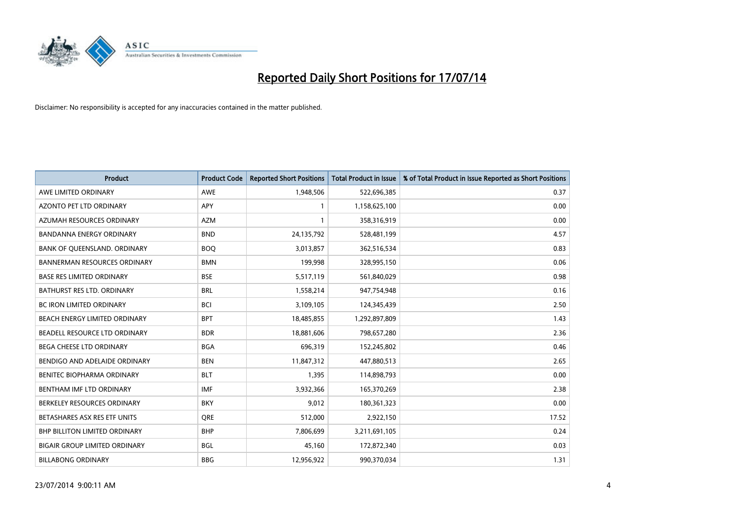

| <b>Product</b>                       | <b>Product Code</b> | <b>Reported Short Positions</b> | <b>Total Product in Issue</b> | % of Total Product in Issue Reported as Short Positions |
|--------------------------------------|---------------------|---------------------------------|-------------------------------|---------------------------------------------------------|
| AWE LIMITED ORDINARY                 | <b>AWE</b>          | 1,948,506                       | 522,696,385                   | 0.37                                                    |
| AZONTO PET LTD ORDINARY              | APY                 | $\mathbf{1}$                    | 1,158,625,100                 | 0.00                                                    |
| AZUMAH RESOURCES ORDINARY            | <b>AZM</b>          | $\mathbf{1}$                    | 358,316,919                   | 0.00                                                    |
| BANDANNA ENERGY ORDINARY             | <b>BND</b>          | 24,135,792                      | 528,481,199                   | 4.57                                                    |
| BANK OF QUEENSLAND. ORDINARY         | <b>BOQ</b>          | 3,013,857                       | 362,516,534                   | 0.83                                                    |
| <b>BANNERMAN RESOURCES ORDINARY</b>  | <b>BMN</b>          | 199,998                         | 328,995,150                   | 0.06                                                    |
| <b>BASE RES LIMITED ORDINARY</b>     | <b>BSE</b>          | 5,517,119                       | 561,840,029                   | 0.98                                                    |
| BATHURST RES LTD. ORDINARY           | <b>BRL</b>          | 1,558,214                       | 947,754,948                   | 0.16                                                    |
| <b>BC IRON LIMITED ORDINARY</b>      | <b>BCI</b>          | 3,109,105                       | 124,345,439                   | 2.50                                                    |
| BEACH ENERGY LIMITED ORDINARY        | <b>BPT</b>          | 18,485,855                      | 1,292,897,809                 | 1.43                                                    |
| BEADELL RESOURCE LTD ORDINARY        | <b>BDR</b>          | 18,881,606                      | 798,657,280                   | 2.36                                                    |
| <b>BEGA CHEESE LTD ORDINARY</b>      | <b>BGA</b>          | 696,319                         | 152,245,802                   | 0.46                                                    |
| BENDIGO AND ADELAIDE ORDINARY        | <b>BEN</b>          | 11,847,312                      | 447,880,513                   | 2.65                                                    |
| BENITEC BIOPHARMA ORDINARY           | <b>BLT</b>          | 1,395                           | 114,898,793                   | 0.00                                                    |
| BENTHAM IMF LTD ORDINARY             | <b>IMF</b>          | 3,932,366                       | 165,370,269                   | 2.38                                                    |
| BERKELEY RESOURCES ORDINARY          | <b>BKY</b>          | 9,012                           | 180,361,323                   | 0.00                                                    |
| BETASHARES ASX RES ETF UNITS         | <b>ORE</b>          | 512,000                         | 2,922,150                     | 17.52                                                   |
| <b>BHP BILLITON LIMITED ORDINARY</b> | <b>BHP</b>          | 7,806,699                       | 3,211,691,105                 | 0.24                                                    |
| <b>BIGAIR GROUP LIMITED ORDINARY</b> | <b>BGL</b>          | 45,160                          | 172,872,340                   | 0.03                                                    |
| <b>BILLABONG ORDINARY</b>            | <b>BBG</b>          | 12,956,922                      | 990,370,034                   | 1.31                                                    |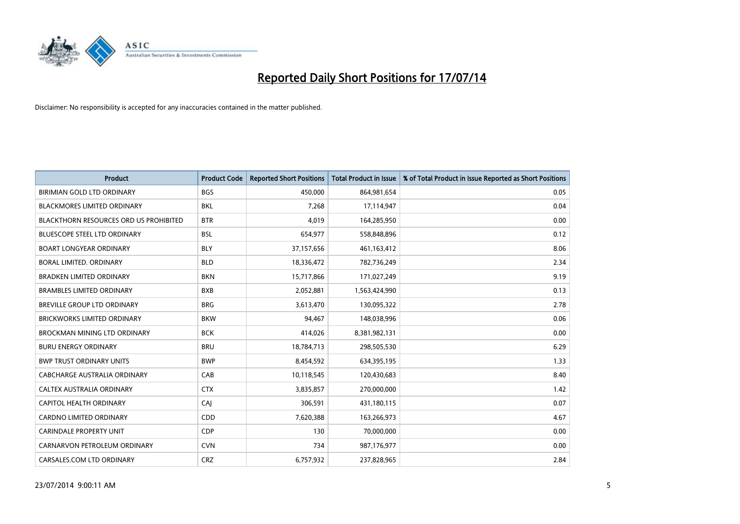

| <b>Product</b>                                | <b>Product Code</b> | <b>Reported Short Positions</b> | <b>Total Product in Issue</b> | % of Total Product in Issue Reported as Short Positions |
|-----------------------------------------------|---------------------|---------------------------------|-------------------------------|---------------------------------------------------------|
| BIRIMIAN GOLD LTD ORDINARY                    | <b>BGS</b>          | 450,000                         | 864, 981, 654                 | 0.05                                                    |
| BLACKMORES LIMITED ORDINARY                   | BKL                 | 7,268                           | 17,114,947                    | 0.04                                                    |
| <b>BLACKTHORN RESOURCES ORD US PROHIBITED</b> | <b>BTR</b>          | 4,019                           | 164,285,950                   | 0.00                                                    |
| <b>BLUESCOPE STEEL LTD ORDINARY</b>           | <b>BSL</b>          | 654,977                         | 558,848,896                   | 0.12                                                    |
| <b>BOART LONGYEAR ORDINARY</b>                | <b>BLY</b>          | 37,157,656                      | 461,163,412                   | 8.06                                                    |
| <b>BORAL LIMITED, ORDINARY</b>                | <b>BLD</b>          | 18,336,472                      | 782,736,249                   | 2.34                                                    |
| <b>BRADKEN LIMITED ORDINARY</b>               | <b>BKN</b>          | 15,717,866                      | 171,027,249                   | 9.19                                                    |
| <b>BRAMBLES LIMITED ORDINARY</b>              | <b>BXB</b>          | 2,052,881                       | 1,563,424,990                 | 0.13                                                    |
| <b>BREVILLE GROUP LTD ORDINARY</b>            | <b>BRG</b>          | 3,613,470                       | 130,095,322                   | 2.78                                                    |
| <b>BRICKWORKS LIMITED ORDINARY</b>            | <b>BKW</b>          | 94,467                          | 148,038,996                   | 0.06                                                    |
| BROCKMAN MINING LTD ORDINARY                  | <b>BCK</b>          | 414,026                         | 8,381,982,131                 | 0.00                                                    |
| <b>BURU ENERGY ORDINARY</b>                   | <b>BRU</b>          | 18,784,713                      | 298,505,530                   | 6.29                                                    |
| <b>BWP TRUST ORDINARY UNITS</b>               | <b>BWP</b>          | 8,454,592                       | 634,395,195                   | 1.33                                                    |
| <b>CABCHARGE AUSTRALIA ORDINARY</b>           | CAB                 | 10,118,545                      | 120,430,683                   | 8.40                                                    |
| CALTEX AUSTRALIA ORDINARY                     | <b>CTX</b>          | 3,835,857                       | 270,000,000                   | 1.42                                                    |
| CAPITOL HEALTH ORDINARY                       | CAI                 | 306,591                         | 431,180,115                   | 0.07                                                    |
| CARDNO LIMITED ORDINARY                       | CDD                 | 7,620,388                       | 163,266,973                   | 4.67                                                    |
| CARINDALE PROPERTY UNIT                       | <b>CDP</b>          | 130                             | 70,000,000                    | 0.00                                                    |
| CARNARVON PETROLEUM ORDINARY                  | <b>CVN</b>          | 734                             | 987,176,977                   | 0.00                                                    |
| CARSALES.COM LTD ORDINARY                     | <b>CRZ</b>          | 6,757,932                       | 237,828,965                   | 2.84                                                    |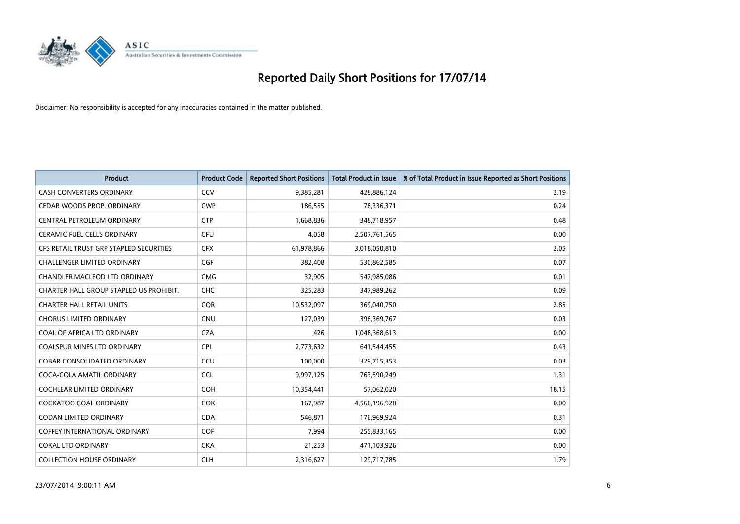

| <b>Product</b>                          | <b>Product Code</b> | <b>Reported Short Positions</b> | <b>Total Product in Issue</b> | % of Total Product in Issue Reported as Short Positions |
|-----------------------------------------|---------------------|---------------------------------|-------------------------------|---------------------------------------------------------|
| <b>CASH CONVERTERS ORDINARY</b>         | CCV                 | 9,385,281                       | 428,886,124                   | 2.19                                                    |
| CEDAR WOODS PROP. ORDINARY              | <b>CWP</b>          | 186,555                         | 78,336,371                    | 0.24                                                    |
| CENTRAL PETROLEUM ORDINARY              | <b>CTP</b>          | 1,668,836                       | 348,718,957                   | 0.48                                                    |
| CERAMIC FUEL CELLS ORDINARY             | <b>CFU</b>          | 4,058                           | 2,507,761,565                 | 0.00                                                    |
| CFS RETAIL TRUST GRP STAPLED SECURITIES | <b>CFX</b>          | 61,978,866                      | 3,018,050,810                 | 2.05                                                    |
| <b>CHALLENGER LIMITED ORDINARY</b>      | <b>CGF</b>          | 382,408                         | 530,862,585                   | 0.07                                                    |
| CHANDLER MACLEOD LTD ORDINARY           | <b>CMG</b>          | 32,905                          | 547,985,086                   | 0.01                                                    |
| CHARTER HALL GROUP STAPLED US PROHIBIT. | <b>CHC</b>          | 325,283                         | 347,989,262                   | 0.09                                                    |
| <b>CHARTER HALL RETAIL UNITS</b>        | <b>COR</b>          | 10,532,097                      | 369,040,750                   | 2.85                                                    |
| <b>CHORUS LIMITED ORDINARY</b>          | <b>CNU</b>          | 127,039                         | 396,369,767                   | 0.03                                                    |
| COAL OF AFRICA LTD ORDINARY             | <b>CZA</b>          | 426                             | 1,048,368,613                 | 0.00                                                    |
| <b>COALSPUR MINES LTD ORDINARY</b>      | <b>CPL</b>          | 2,773,632                       | 641,544,455                   | 0.43                                                    |
| COBAR CONSOLIDATED ORDINARY             | CCU                 | 100,000                         | 329,715,353                   | 0.03                                                    |
| COCA-COLA AMATIL ORDINARY               | <b>CCL</b>          | 9,997,125                       | 763,590,249                   | 1.31                                                    |
| <b>COCHLEAR LIMITED ORDINARY</b>        | COH                 | 10,354,441                      | 57,062,020                    | 18.15                                                   |
| COCKATOO COAL ORDINARY                  | <b>COK</b>          | 167,987                         | 4,560,196,928                 | 0.00                                                    |
| CODAN LIMITED ORDINARY                  | <b>CDA</b>          | 546,871                         | 176,969,924                   | 0.31                                                    |
| <b>COFFEY INTERNATIONAL ORDINARY</b>    | <b>COF</b>          | 7,994                           | 255,833,165                   | 0.00                                                    |
| <b>COKAL LTD ORDINARY</b>               | <b>CKA</b>          | 21,253                          | 471,103,926                   | 0.00                                                    |
| <b>COLLECTION HOUSE ORDINARY</b>        | <b>CLH</b>          | 2,316,627                       | 129,717,785                   | 1.79                                                    |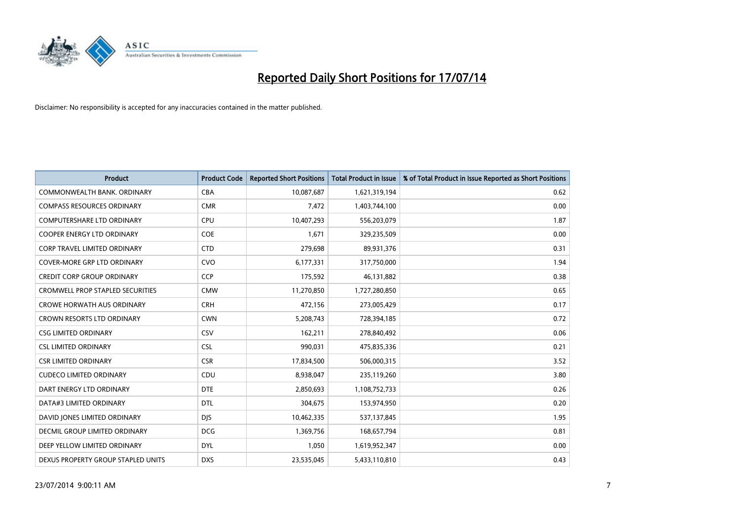

| <b>Product</b>                          | <b>Product Code</b> | <b>Reported Short Positions</b> | <b>Total Product in Issue</b> | % of Total Product in Issue Reported as Short Positions |
|-----------------------------------------|---------------------|---------------------------------|-------------------------------|---------------------------------------------------------|
| COMMONWEALTH BANK, ORDINARY             | <b>CBA</b>          | 10,087,687                      | 1,621,319,194                 | 0.62                                                    |
| <b>COMPASS RESOURCES ORDINARY</b>       | <b>CMR</b>          | 7,472                           | 1,403,744,100                 | 0.00                                                    |
| <b>COMPUTERSHARE LTD ORDINARY</b>       | <b>CPU</b>          | 10,407,293                      | 556,203,079                   | 1.87                                                    |
| COOPER ENERGY LTD ORDINARY              | <b>COE</b>          | 1,671                           | 329,235,509                   | 0.00                                                    |
| <b>CORP TRAVEL LIMITED ORDINARY</b>     | <b>CTD</b>          | 279,698                         | 89,931,376                    | 0.31                                                    |
| <b>COVER-MORE GRP LTD ORDINARY</b>      | <b>CVO</b>          | 6,177,331                       | 317,750,000                   | 1.94                                                    |
| <b>CREDIT CORP GROUP ORDINARY</b>       | <b>CCP</b>          | 175,592                         | 46,131,882                    | 0.38                                                    |
| <b>CROMWELL PROP STAPLED SECURITIES</b> | <b>CMW</b>          | 11,270,850                      | 1,727,280,850                 | 0.65                                                    |
| <b>CROWE HORWATH AUS ORDINARY</b>       | <b>CRH</b>          | 472,156                         | 273,005,429                   | 0.17                                                    |
| <b>CROWN RESORTS LTD ORDINARY</b>       | <b>CWN</b>          | 5,208,743                       | 728,394,185                   | 0.72                                                    |
| <b>CSG LIMITED ORDINARY</b>             | CSV                 | 162,211                         | 278,840,492                   | 0.06                                                    |
| <b>CSL LIMITED ORDINARY</b>             | <b>CSL</b>          | 990,031                         | 475,835,336                   | 0.21                                                    |
| <b>CSR LIMITED ORDINARY</b>             | <b>CSR</b>          | 17,834,500                      | 506,000,315                   | 3.52                                                    |
| <b>CUDECO LIMITED ORDINARY</b>          | CDU                 | 8,938,047                       | 235,119,260                   | 3.80                                                    |
| DART ENERGY LTD ORDINARY                | <b>DTE</b>          | 2,850,693                       | 1,108,752,733                 | 0.26                                                    |
| DATA#3 LIMITED ORDINARY                 | DTL                 | 304,675                         | 153,974,950                   | 0.20                                                    |
| DAVID JONES LIMITED ORDINARY            | <b>DJS</b>          | 10,462,335                      | 537,137,845                   | 1.95                                                    |
| <b>DECMIL GROUP LIMITED ORDINARY</b>    | <b>DCG</b>          | 1,369,756                       | 168,657,794                   | 0.81                                                    |
| DEEP YELLOW LIMITED ORDINARY            | <b>DYL</b>          | 1,050                           | 1,619,952,347                 | 0.00                                                    |
| DEXUS PROPERTY GROUP STAPLED UNITS      | <b>DXS</b>          | 23,535,045                      | 5,433,110,810                 | 0.43                                                    |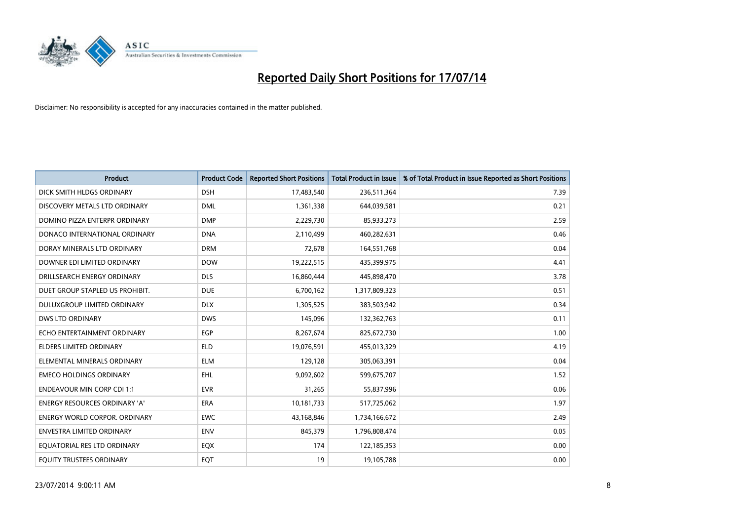

| <b>Product</b>                    | <b>Product Code</b> | <b>Reported Short Positions</b> | <b>Total Product in Issue</b> | % of Total Product in Issue Reported as Short Positions |
|-----------------------------------|---------------------|---------------------------------|-------------------------------|---------------------------------------------------------|
| DICK SMITH HLDGS ORDINARY         | <b>DSH</b>          | 17,483,540                      | 236,511,364                   | 7.39                                                    |
| DISCOVERY METALS LTD ORDINARY     | <b>DML</b>          | 1,361,338                       | 644,039,581                   | 0.21                                                    |
| DOMINO PIZZA ENTERPR ORDINARY     | <b>DMP</b>          | 2,229,730                       | 85,933,273                    | 2.59                                                    |
| DONACO INTERNATIONAL ORDINARY     | <b>DNA</b>          | 2,110,499                       | 460,282,631                   | 0.46                                                    |
| DORAY MINERALS LTD ORDINARY       | <b>DRM</b>          | 72,678                          | 164,551,768                   | 0.04                                                    |
| DOWNER EDI LIMITED ORDINARY       | <b>DOW</b>          | 19,222,515                      | 435,399,975                   | 4.41                                                    |
| DRILLSEARCH ENERGY ORDINARY       | <b>DLS</b>          | 16,860,444                      | 445,898,470                   | 3.78                                                    |
| DUET GROUP STAPLED US PROHIBIT.   | <b>DUE</b>          | 6,700,162                       | 1,317,809,323                 | 0.51                                                    |
| DULUXGROUP LIMITED ORDINARY       | <b>DLX</b>          | 1,305,525                       | 383,503,942                   | 0.34                                                    |
| <b>DWS LTD ORDINARY</b>           | <b>DWS</b>          | 145,096                         | 132,362,763                   | 0.11                                                    |
| ECHO ENTERTAINMENT ORDINARY       | <b>EGP</b>          | 8,267,674                       | 825,672,730                   | 1.00                                                    |
| ELDERS LIMITED ORDINARY           | <b>ELD</b>          | 19,076,591                      | 455,013,329                   | 4.19                                                    |
| ELEMENTAL MINERALS ORDINARY       | <b>ELM</b>          | 129,128                         | 305,063,391                   | 0.04                                                    |
| <b>EMECO HOLDINGS ORDINARY</b>    | <b>EHL</b>          | 9,092,602                       | 599,675,707                   | 1.52                                                    |
| <b>ENDEAVOUR MIN CORP CDI 1:1</b> | <b>EVR</b>          | 31,265                          | 55,837,996                    | 0.06                                                    |
| ENERGY RESOURCES ORDINARY 'A'     | ERA                 | 10,181,733                      | 517,725,062                   | 1.97                                                    |
| ENERGY WORLD CORPOR. ORDINARY     | <b>EWC</b>          | 43,168,846                      | 1,734,166,672                 | 2.49                                                    |
| <b>ENVESTRA LIMITED ORDINARY</b>  | <b>ENV</b>          | 845,379                         | 1,796,808,474                 | 0.05                                                    |
| EQUATORIAL RES LTD ORDINARY       | EQX                 | 174                             | 122,185,353                   | 0.00                                                    |
| EQUITY TRUSTEES ORDINARY          | EQT                 | 19                              | 19,105,788                    | 0.00                                                    |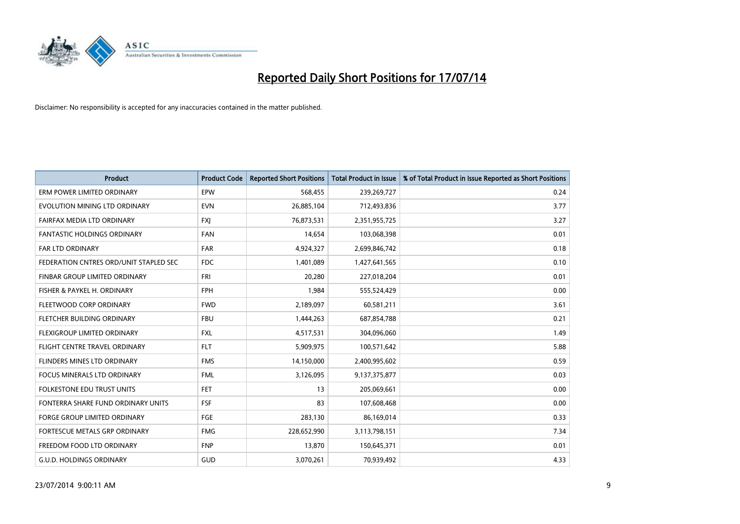

| <b>Product</b>                         | <b>Product Code</b> | <b>Reported Short Positions</b> | <b>Total Product in Issue</b> | % of Total Product in Issue Reported as Short Positions |
|----------------------------------------|---------------------|---------------------------------|-------------------------------|---------------------------------------------------------|
| ERM POWER LIMITED ORDINARY             | EPW                 | 568,455                         | 239,269,727                   | 0.24                                                    |
| EVOLUTION MINING LTD ORDINARY          | <b>EVN</b>          | 26,885,104                      | 712,493,836                   | 3.77                                                    |
| FAIRFAX MEDIA LTD ORDINARY             | <b>FXI</b>          | 76,873,531                      | 2,351,955,725                 | 3.27                                                    |
| <b>FANTASTIC HOLDINGS ORDINARY</b>     | <b>FAN</b>          | 14,654                          | 103,068,398                   | 0.01                                                    |
| <b>FAR LTD ORDINARY</b>                | <b>FAR</b>          | 4,924,327                       | 2,699,846,742                 | 0.18                                                    |
| FEDERATION CNTRES ORD/UNIT STAPLED SEC | <b>FDC</b>          | 1,401,089                       | 1,427,641,565                 | 0.10                                                    |
| FINBAR GROUP LIMITED ORDINARY          | <b>FRI</b>          | 20,280                          | 227,018,204                   | 0.01                                                    |
| FISHER & PAYKEL H. ORDINARY            | <b>FPH</b>          | 1,984                           | 555,524,429                   | 0.00                                                    |
| FLEETWOOD CORP ORDINARY                | <b>FWD</b>          | 2,189,097                       | 60,581,211                    | 3.61                                                    |
| FLETCHER BUILDING ORDINARY             | <b>FBU</b>          | 1,444,263                       | 687,854,788                   | 0.21                                                    |
| FLEXIGROUP LIMITED ORDINARY            | <b>FXL</b>          | 4,517,531                       | 304,096,060                   | 1.49                                                    |
| FLIGHT CENTRE TRAVEL ORDINARY          | <b>FLT</b>          | 5,909,975                       | 100,571,642                   | 5.88                                                    |
| FLINDERS MINES LTD ORDINARY            | <b>FMS</b>          | 14,150,000                      | 2,400,995,602                 | 0.59                                                    |
| <b>FOCUS MINERALS LTD ORDINARY</b>     | <b>FML</b>          | 3,126,095                       | 9,137,375,877                 | 0.03                                                    |
| <b>FOLKESTONE EDU TRUST UNITS</b>      | <b>FET</b>          | 13                              | 205,069,661                   | 0.00                                                    |
| FONTERRA SHARE FUND ORDINARY UNITS     | <b>FSF</b>          | 83                              | 107,608,468                   | 0.00                                                    |
| FORGE GROUP LIMITED ORDINARY           | FGE                 | 283,130                         | 86,169,014                    | 0.33                                                    |
| FORTESCUE METALS GRP ORDINARY          | <b>FMG</b>          | 228,652,990                     | 3,113,798,151                 | 7.34                                                    |
| FREEDOM FOOD LTD ORDINARY              | <b>FNP</b>          | 13,870                          | 150,645,371                   | 0.01                                                    |
| <b>G.U.D. HOLDINGS ORDINARY</b>        | GUD                 | 3,070,261                       | 70,939,492                    | 4.33                                                    |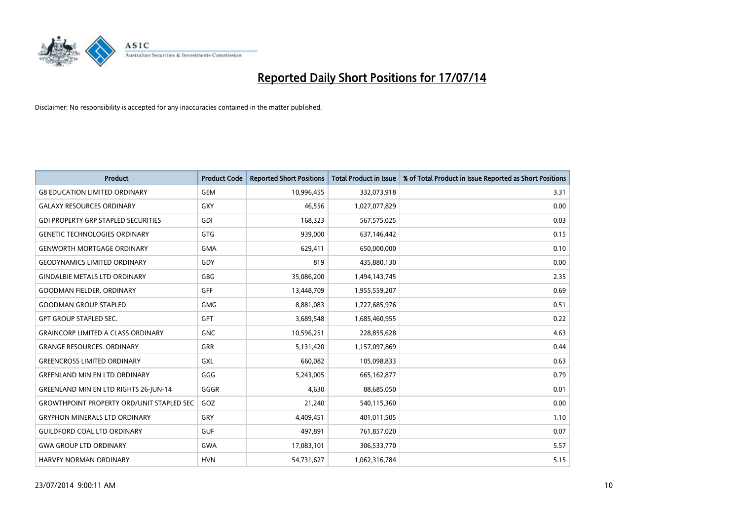

| <b>Product</b>                                   | <b>Product Code</b> | <b>Reported Short Positions</b> | <b>Total Product in Issue</b> | % of Total Product in Issue Reported as Short Positions |
|--------------------------------------------------|---------------------|---------------------------------|-------------------------------|---------------------------------------------------------|
| <b>G8 EDUCATION LIMITED ORDINARY</b>             | <b>GEM</b>          | 10,996,455                      | 332,073,918                   | 3.31                                                    |
| <b>GALAXY RESOURCES ORDINARY</b>                 | <b>GXY</b>          | 46,556                          | 1,027,077,829                 | 0.00                                                    |
| <b>GDI PROPERTY GRP STAPLED SECURITIES</b>       | GDI                 | 168,323                         | 567,575,025                   | 0.03                                                    |
| <b>GENETIC TECHNOLOGIES ORDINARY</b>             | GTG                 | 939,000                         | 637,146,442                   | 0.15                                                    |
| <b>GENWORTH MORTGAGE ORDINARY</b>                | <b>GMA</b>          | 629,411                         | 650,000,000                   | 0.10                                                    |
| <b>GEODYNAMICS LIMITED ORDINARY</b>              | GDY                 | 819                             | 435,880,130                   | 0.00                                                    |
| <b>GINDALBIE METALS LTD ORDINARY</b>             | GBG                 | 35,086,200                      | 1,494,143,745                 | 2.35                                                    |
| <b>GOODMAN FIELDER. ORDINARY</b>                 | <b>GFF</b>          | 13,448,709                      | 1,955,559,207                 | 0.69                                                    |
| <b>GOODMAN GROUP STAPLED</b>                     | <b>GMG</b>          | 8,881,083                       | 1,727,685,976                 | 0.51                                                    |
| <b>GPT GROUP STAPLED SEC.</b>                    | <b>GPT</b>          | 3,689,548                       | 1,685,460,955                 | 0.22                                                    |
| <b>GRAINCORP LIMITED A CLASS ORDINARY</b>        | <b>GNC</b>          | 10,596,251                      | 228,855,628                   | 4.63                                                    |
| <b>GRANGE RESOURCES. ORDINARY</b>                | GRR                 | 5,131,420                       | 1,157,097,869                 | 0.44                                                    |
| <b>GREENCROSS LIMITED ORDINARY</b>               | GXL                 | 660,082                         | 105,098,833                   | 0.63                                                    |
| <b>GREENLAND MIN EN LTD ORDINARY</b>             | GGG                 | 5,243,005                       | 665, 162, 877                 | 0.79                                                    |
| GREENLAND MIN EN LTD RIGHTS 26-JUN-14            | GGGR                | 4,630                           | 88,685,050                    | 0.01                                                    |
| <b>GROWTHPOINT PROPERTY ORD/UNIT STAPLED SEC</b> | GOZ                 | 21,240                          | 540,115,360                   | 0.00                                                    |
| <b>GRYPHON MINERALS LTD ORDINARY</b>             | GRY                 | 4,409,451                       | 401,011,505                   | 1.10                                                    |
| <b>GUILDFORD COAL LTD ORDINARY</b>               | <b>GUF</b>          | 497,891                         | 761,857,020                   | 0.07                                                    |
| <b>GWA GROUP LTD ORDINARY</b>                    | <b>GWA</b>          | 17,083,101                      | 306,533,770                   | 5.57                                                    |
| <b>HARVEY NORMAN ORDINARY</b>                    | <b>HVN</b>          | 54,731,627                      | 1,062,316,784                 | 5.15                                                    |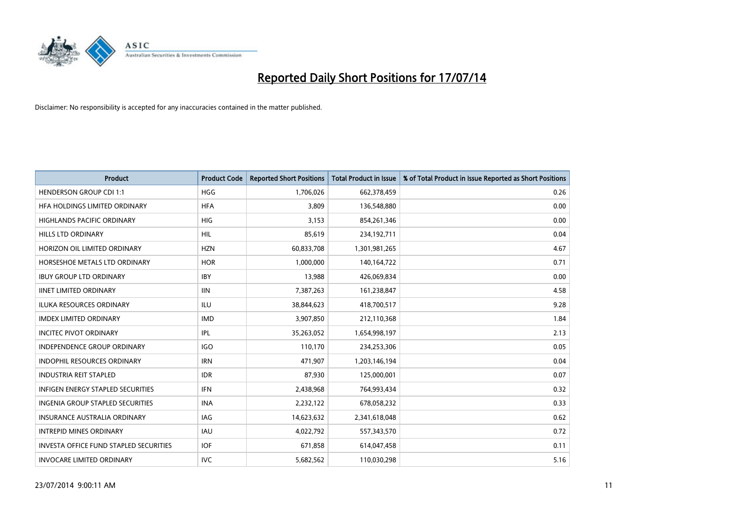

| <b>Product</b>                                | <b>Product Code</b> | <b>Reported Short Positions</b> | <b>Total Product in Issue</b> | % of Total Product in Issue Reported as Short Positions |
|-----------------------------------------------|---------------------|---------------------------------|-------------------------------|---------------------------------------------------------|
| <b>HENDERSON GROUP CDI 1:1</b>                | <b>HGG</b>          | 1,706,026                       | 662,378,459                   | 0.26                                                    |
| HFA HOLDINGS LIMITED ORDINARY                 | <b>HFA</b>          | 3,809                           | 136,548,880                   | 0.00                                                    |
| <b>HIGHLANDS PACIFIC ORDINARY</b>             | <b>HIG</b>          | 3.153                           | 854,261,346                   | 0.00                                                    |
| HILLS LTD ORDINARY                            | <b>HIL</b>          | 85,619                          | 234,192,711                   | 0.04                                                    |
| HORIZON OIL LIMITED ORDINARY                  | <b>HZN</b>          | 60,833,708                      | 1,301,981,265                 | 4.67                                                    |
| HORSESHOE METALS LTD ORDINARY                 | <b>HOR</b>          | 1,000,000                       | 140,164,722                   | 0.71                                                    |
| <b>IBUY GROUP LTD ORDINARY</b>                | <b>IBY</b>          | 13,988                          | 426,069,834                   | 0.00                                                    |
| <b>IINET LIMITED ORDINARY</b>                 | <b>IIN</b>          | 7,387,263                       | 161,238,847                   | 4.58                                                    |
| <b>ILUKA RESOURCES ORDINARY</b>               | ILU                 | 38,844,623                      | 418,700,517                   | 9.28                                                    |
| <b>IMDEX LIMITED ORDINARY</b>                 | <b>IMD</b>          | 3,907,850                       | 212,110,368                   | 1.84                                                    |
| <b>INCITEC PIVOT ORDINARY</b>                 | IPL                 | 35,263,052                      | 1,654,998,197                 | 2.13                                                    |
| <b>INDEPENDENCE GROUP ORDINARY</b>            | <b>IGO</b>          | 110,170                         | 234,253,306                   | 0.05                                                    |
| INDOPHIL RESOURCES ORDINARY                   | <b>IRN</b>          | 471,907                         | 1,203,146,194                 | 0.04                                                    |
| <b>INDUSTRIA REIT STAPLED</b>                 | <b>IDR</b>          | 87,930                          | 125,000,001                   | 0.07                                                    |
| <b>INFIGEN ENERGY STAPLED SECURITIES</b>      | <b>IFN</b>          | 2,438,968                       | 764,993,434                   | 0.32                                                    |
| INGENIA GROUP STAPLED SECURITIES              | <b>INA</b>          | 2,232,122                       | 678,058,232                   | 0.33                                                    |
| INSURANCE AUSTRALIA ORDINARY                  | IAG                 | 14,623,632                      | 2,341,618,048                 | 0.62                                                    |
| <b>INTREPID MINES ORDINARY</b>                | <b>IAU</b>          | 4,022,792                       | 557,343,570                   | 0.72                                                    |
| <b>INVESTA OFFICE FUND STAPLED SECURITIES</b> | <b>IOF</b>          | 671,858                         | 614,047,458                   | 0.11                                                    |
| <b>INVOCARE LIMITED ORDINARY</b>              | <b>IVC</b>          | 5,682,562                       | 110,030,298                   | 5.16                                                    |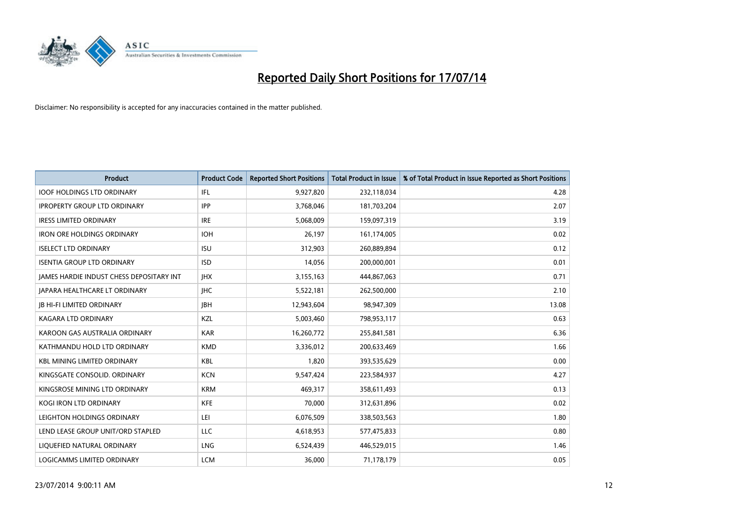

| <b>Product</b>                           | <b>Product Code</b> | <b>Reported Short Positions</b> | <b>Total Product in Issue</b> | % of Total Product in Issue Reported as Short Positions |
|------------------------------------------|---------------------|---------------------------------|-------------------------------|---------------------------------------------------------|
| <b>IOOF HOLDINGS LTD ORDINARY</b>        | IFL                 | 9,927,820                       | 232,118,034                   | 4.28                                                    |
| <b>IPROPERTY GROUP LTD ORDINARY</b>      | <b>IPP</b>          | 3,768,046                       | 181,703,204                   | 2.07                                                    |
| <b>IRESS LIMITED ORDINARY</b>            | <b>IRE</b>          | 5,068,009                       | 159,097,319                   | 3.19                                                    |
| <b>IRON ORE HOLDINGS ORDINARY</b>        | <b>IOH</b>          | 26,197                          | 161,174,005                   | 0.02                                                    |
| <b>ISELECT LTD ORDINARY</b>              | <b>ISU</b>          | 312,903                         | 260,889,894                   | 0.12                                                    |
| <b>ISENTIA GROUP LTD ORDINARY</b>        | <b>ISD</b>          | 14,056                          | 200,000,001                   | 0.01                                                    |
| JAMES HARDIE INDUST CHESS DEPOSITARY INT | <b>IHX</b>          | 3,155,163                       | 444,867,063                   | 0.71                                                    |
| <b>JAPARA HEALTHCARE LT ORDINARY</b>     | <b>IHC</b>          | 5,522,181                       | 262,500,000                   | 2.10                                                    |
| <b>JB HI-FI LIMITED ORDINARY</b>         | <b>JBH</b>          | 12,943,604                      | 98,947,309                    | 13.08                                                   |
| <b>KAGARA LTD ORDINARY</b>               | KZL                 | 5,003,460                       | 798,953,117                   | 0.63                                                    |
| KAROON GAS AUSTRALIA ORDINARY            | <b>KAR</b>          | 16,260,772                      | 255,841,581                   | 6.36                                                    |
| KATHMANDU HOLD LTD ORDINARY              | <b>KMD</b>          | 3,336,012                       | 200,633,469                   | 1.66                                                    |
| <b>KBL MINING LIMITED ORDINARY</b>       | <b>KBL</b>          | 1,820                           | 393,535,629                   | 0.00                                                    |
| KINGSGATE CONSOLID. ORDINARY             | <b>KCN</b>          | 9,547,424                       | 223,584,937                   | 4.27                                                    |
| KINGSROSE MINING LTD ORDINARY            | <b>KRM</b>          | 469,317                         | 358,611,493                   | 0.13                                                    |
| <b>KOGI IRON LTD ORDINARY</b>            | <b>KFE</b>          | 70,000                          | 312,631,896                   | 0.02                                                    |
| LEIGHTON HOLDINGS ORDINARY               | LEI                 | 6,076,509                       | 338,503,563                   | 1.80                                                    |
| LEND LEASE GROUP UNIT/ORD STAPLED        | LLC                 | 4,618,953                       | 577,475,833                   | 0.80                                                    |
| LIQUEFIED NATURAL ORDINARY               | LNG                 | 6,524,439                       | 446,529,015                   | 1.46                                                    |
| LOGICAMMS LIMITED ORDINARY               | <b>LCM</b>          | 36.000                          | 71,178,179                    | 0.05                                                    |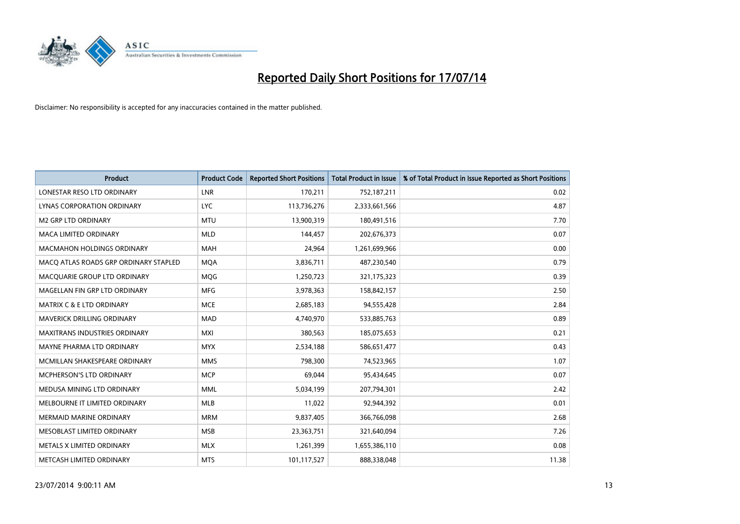

| <b>Product</b>                        | <b>Product Code</b> | <b>Reported Short Positions</b> | <b>Total Product in Issue</b> | % of Total Product in Issue Reported as Short Positions |
|---------------------------------------|---------------------|---------------------------------|-------------------------------|---------------------------------------------------------|
| LONESTAR RESO LTD ORDINARY            | <b>LNR</b>          | 170,211                         | 752,187,211                   | 0.02                                                    |
| LYNAS CORPORATION ORDINARY            | <b>LYC</b>          | 113,736,276                     | 2,333,661,566                 | 4.87                                                    |
| M2 GRP LTD ORDINARY                   | <b>MTU</b>          | 13,900,319                      | 180,491,516                   | 7.70                                                    |
| <b>MACA LIMITED ORDINARY</b>          | <b>MLD</b>          | 144,457                         | 202,676,373                   | 0.07                                                    |
| <b>MACMAHON HOLDINGS ORDINARY</b>     | <b>MAH</b>          | 24,964                          | 1,261,699,966                 | 0.00                                                    |
| MACO ATLAS ROADS GRP ORDINARY STAPLED | <b>MQA</b>          | 3,836,711                       | 487,230,540                   | 0.79                                                    |
| MACQUARIE GROUP LTD ORDINARY          | <b>MOG</b>          | 1,250,723                       | 321,175,323                   | 0.39                                                    |
| MAGELLAN FIN GRP LTD ORDINARY         | <b>MFG</b>          | 3,978,363                       | 158,842,157                   | 2.50                                                    |
| <b>MATRIX C &amp; E LTD ORDINARY</b>  | <b>MCE</b>          | 2,685,183                       | 94,555,428                    | 2.84                                                    |
| MAVERICK DRILLING ORDINARY            | <b>MAD</b>          | 4,740,970                       | 533,885,763                   | 0.89                                                    |
| <b>MAXITRANS INDUSTRIES ORDINARY</b>  | <b>MXI</b>          | 380,563                         | 185,075,653                   | 0.21                                                    |
| MAYNE PHARMA LTD ORDINARY             | <b>MYX</b>          | 2,534,188                       | 586,651,477                   | 0.43                                                    |
| MCMILLAN SHAKESPEARE ORDINARY         | <b>MMS</b>          | 798,300                         | 74,523,965                    | 1.07                                                    |
| <b>MCPHERSON'S LTD ORDINARY</b>       | <b>MCP</b>          | 69,044                          | 95,434,645                    | 0.07                                                    |
| MEDUSA MINING LTD ORDINARY            | <b>MML</b>          | 5,034,199                       | 207,794,301                   | 2.42                                                    |
| MELBOURNE IT LIMITED ORDINARY         | MLB                 | 11,022                          | 92,944,392                    | 0.01                                                    |
| MERMAID MARINE ORDINARY               | <b>MRM</b>          | 9,837,405                       | 366,766,098                   | 2.68                                                    |
| MESOBLAST LIMITED ORDINARY            | <b>MSB</b>          | 23,363,751                      | 321,640,094                   | 7.26                                                    |
| METALS X LIMITED ORDINARY             | <b>MLX</b>          | 1,261,399                       | 1,655,386,110                 | 0.08                                                    |
| METCASH LIMITED ORDINARY              | <b>MTS</b>          | 101,117,527                     | 888,338,048                   | 11.38                                                   |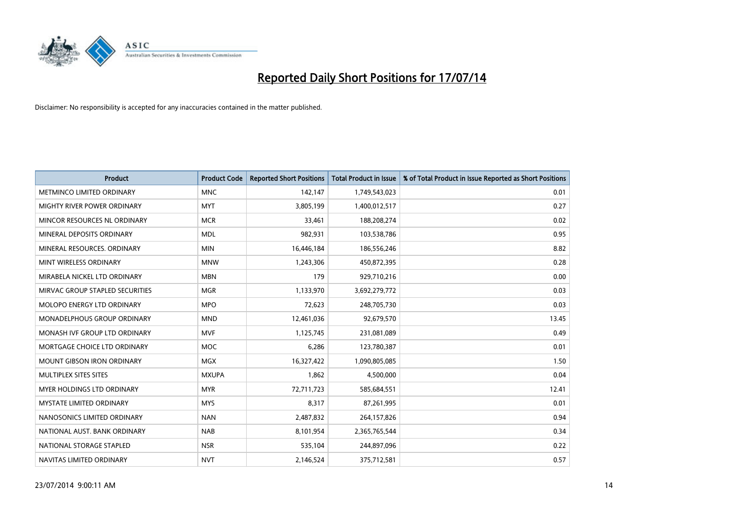

| <b>Product</b>                    | <b>Product Code</b> | <b>Reported Short Positions</b> | <b>Total Product in Issue</b> | % of Total Product in Issue Reported as Short Positions |
|-----------------------------------|---------------------|---------------------------------|-------------------------------|---------------------------------------------------------|
| METMINCO LIMITED ORDINARY         | <b>MNC</b>          | 142,147                         | 1,749,543,023                 | 0.01                                                    |
| MIGHTY RIVER POWER ORDINARY       | <b>MYT</b>          | 3,805,199                       | 1,400,012,517                 | 0.27                                                    |
| MINCOR RESOURCES NL ORDINARY      | <b>MCR</b>          | 33,461                          | 188,208,274                   | 0.02                                                    |
| MINERAL DEPOSITS ORDINARY         | <b>MDL</b>          | 982,931                         | 103,538,786                   | 0.95                                                    |
| MINERAL RESOURCES, ORDINARY       | <b>MIN</b>          | 16,446,184                      | 186,556,246                   | 8.82                                                    |
| MINT WIRELESS ORDINARY            | <b>MNW</b>          | 1,243,306                       | 450,872,395                   | 0.28                                                    |
| MIRABELA NICKEL LTD ORDINARY      | <b>MBN</b>          | 179                             | 929,710,216                   | 0.00                                                    |
| MIRVAC GROUP STAPLED SECURITIES   | <b>MGR</b>          | 1,133,970                       | 3,692,279,772                 | 0.03                                                    |
| MOLOPO ENERGY LTD ORDINARY        | <b>MPO</b>          | 72,623                          | 248,705,730                   | 0.03                                                    |
| MONADELPHOUS GROUP ORDINARY       | <b>MND</b>          | 12,461,036                      | 92,679,570                    | 13.45                                                   |
| MONASH IVF GROUP LTD ORDINARY     | <b>MVF</b>          | 1,125,745                       | 231,081,089                   | 0.49                                                    |
| MORTGAGE CHOICE LTD ORDINARY      | <b>MOC</b>          | 6,286                           | 123,780,387                   | 0.01                                                    |
| <b>MOUNT GIBSON IRON ORDINARY</b> | <b>MGX</b>          | 16,327,422                      | 1,090,805,085                 | 1.50                                                    |
| MULTIPLEX SITES SITES             | <b>MXUPA</b>        | 1,862                           | 4,500,000                     | 0.04                                                    |
| <b>MYER HOLDINGS LTD ORDINARY</b> | <b>MYR</b>          | 72,711,723                      | 585,684,551                   | 12.41                                                   |
| <b>MYSTATE LIMITED ORDINARY</b>   | <b>MYS</b>          | 8,317                           | 87,261,995                    | 0.01                                                    |
| NANOSONICS LIMITED ORDINARY       | <b>NAN</b>          | 2,487,832                       | 264,157,826                   | 0.94                                                    |
| NATIONAL AUST. BANK ORDINARY      | <b>NAB</b>          | 8,101,954                       | 2,365,765,544                 | 0.34                                                    |
| NATIONAL STORAGE STAPLED          | <b>NSR</b>          | 535,104                         | 244,897,096                   | 0.22                                                    |
| NAVITAS LIMITED ORDINARY          | <b>NVT</b>          | 2,146,524                       | 375,712,581                   | 0.57                                                    |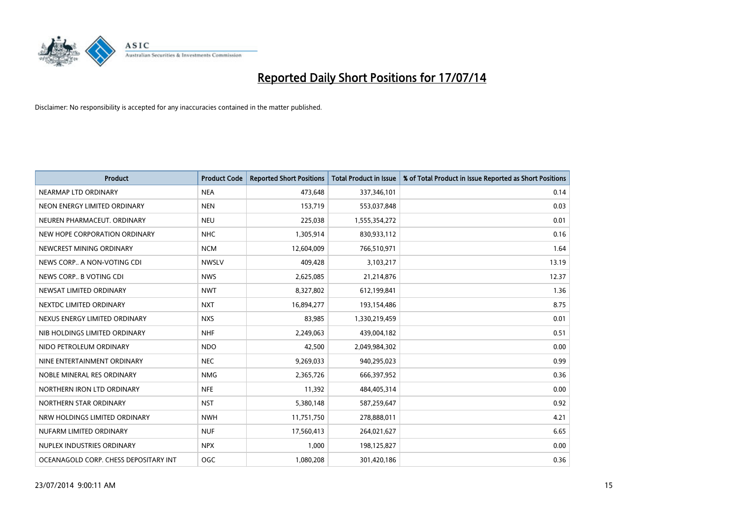

| <b>Product</b>                        | <b>Product Code</b> | <b>Reported Short Positions</b> | <b>Total Product in Issue</b> | % of Total Product in Issue Reported as Short Positions |
|---------------------------------------|---------------------|---------------------------------|-------------------------------|---------------------------------------------------------|
| NEARMAP LTD ORDINARY                  | <b>NEA</b>          | 473,648                         | 337,346,101                   | 0.14                                                    |
| NEON ENERGY LIMITED ORDINARY          | <b>NEN</b>          | 153,719                         | 553,037,848                   | 0.03                                                    |
| NEUREN PHARMACEUT, ORDINARY           | <b>NEU</b>          | 225,038                         | 1,555,354,272                 | 0.01                                                    |
| NEW HOPE CORPORATION ORDINARY         | <b>NHC</b>          | 1,305,914                       | 830,933,112                   | 0.16                                                    |
| NEWCREST MINING ORDINARY              | <b>NCM</b>          | 12,604,009                      | 766,510,971                   | 1.64                                                    |
| NEWS CORP A NON-VOTING CDI            | <b>NWSLV</b>        | 409,428                         | 3,103,217                     | 13.19                                                   |
| NEWS CORP B VOTING CDI                | <b>NWS</b>          | 2,625,085                       | 21,214,876                    | 12.37                                                   |
| NEWSAT LIMITED ORDINARY               | <b>NWT</b>          | 8,327,802                       | 612,199,841                   | 1.36                                                    |
| NEXTDC LIMITED ORDINARY               | <b>NXT</b>          | 16,894,277                      | 193,154,486                   | 8.75                                                    |
| NEXUS ENERGY LIMITED ORDINARY         | <b>NXS</b>          | 83,985                          | 1,330,219,459                 | 0.01                                                    |
| NIB HOLDINGS LIMITED ORDINARY         | <b>NHF</b>          | 2,249,063                       | 439,004,182                   | 0.51                                                    |
| NIDO PETROLEUM ORDINARY               | <b>NDO</b>          | 42,500                          | 2,049,984,302                 | 0.00                                                    |
| NINE ENTERTAINMENT ORDINARY           | <b>NEC</b>          | 9,269,033                       | 940,295,023                   | 0.99                                                    |
| NOBLE MINERAL RES ORDINARY            | <b>NMG</b>          | 2,365,726                       | 666,397,952                   | 0.36                                                    |
| NORTHERN IRON LTD ORDINARY            | <b>NFE</b>          | 11,392                          | 484,405,314                   | 0.00                                                    |
| NORTHERN STAR ORDINARY                | <b>NST</b>          | 5,380,148                       | 587,259,647                   | 0.92                                                    |
| NRW HOLDINGS LIMITED ORDINARY         | <b>NWH</b>          | 11,751,750                      | 278,888,011                   | 4.21                                                    |
| NUFARM LIMITED ORDINARY               | <b>NUF</b>          | 17,560,413                      | 264,021,627                   | 6.65                                                    |
| NUPLEX INDUSTRIES ORDINARY            | <b>NPX</b>          | 1,000                           | 198,125,827                   | 0.00                                                    |
| OCEANAGOLD CORP. CHESS DEPOSITARY INT | OGC                 | 1,080,208                       | 301,420,186                   | 0.36                                                    |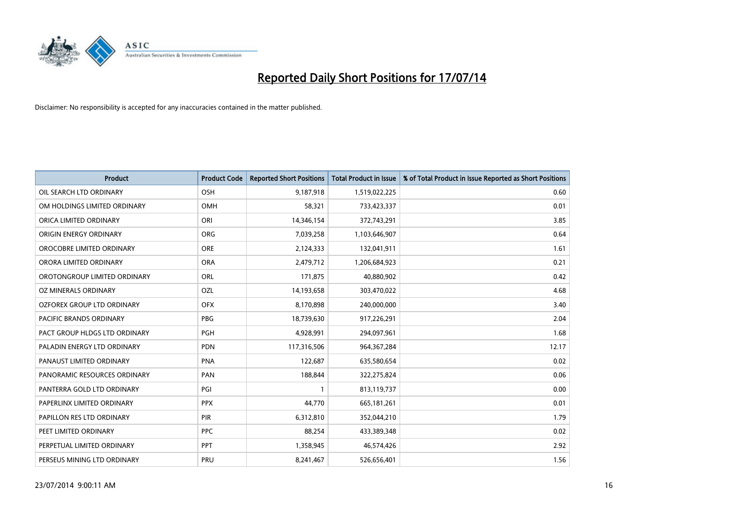

| <b>Product</b>                 | <b>Product Code</b> | <b>Reported Short Positions</b> | <b>Total Product in Issue</b> | % of Total Product in Issue Reported as Short Positions |
|--------------------------------|---------------------|---------------------------------|-------------------------------|---------------------------------------------------------|
| OIL SEARCH LTD ORDINARY        | OSH                 | 9,187,918                       | 1,519,022,225                 | 0.60                                                    |
| OM HOLDINGS LIMITED ORDINARY   | OMH                 | 58,321                          | 733,423,337                   | 0.01                                                    |
| ORICA LIMITED ORDINARY         | ORI                 | 14,346,154                      | 372,743,291                   | 3.85                                                    |
| ORIGIN ENERGY ORDINARY         | <b>ORG</b>          | 7,039,258                       | 1,103,646,907                 | 0.64                                                    |
| OROCOBRE LIMITED ORDINARY      | <b>ORE</b>          | 2,124,333                       | 132,041,911                   | 1.61                                                    |
| ORORA LIMITED ORDINARY         | <b>ORA</b>          | 2,479,712                       | 1,206,684,923                 | 0.21                                                    |
| OROTONGROUP LIMITED ORDINARY   | ORL                 | 171,875                         | 40,880,902                    | 0.42                                                    |
| OZ MINERALS ORDINARY           | OZL                 | 14,193,658                      | 303,470,022                   | 4.68                                                    |
| OZFOREX GROUP LTD ORDINARY     | <b>OFX</b>          | 8,170,898                       | 240,000,000                   | 3.40                                                    |
| <b>PACIFIC BRANDS ORDINARY</b> | <b>PBG</b>          | 18,739,630                      | 917,226,291                   | 2.04                                                    |
| PACT GROUP HLDGS LTD ORDINARY  | PGH                 | 4,928,991                       | 294,097,961                   | 1.68                                                    |
| PALADIN ENERGY LTD ORDINARY    | <b>PDN</b>          | 117,316,506                     | 964, 367, 284                 | 12.17                                                   |
| PANAUST LIMITED ORDINARY       | <b>PNA</b>          | 122,687                         | 635,580,654                   | 0.02                                                    |
| PANORAMIC RESOURCES ORDINARY   | PAN                 | 188,844                         | 322,275,824                   | 0.06                                                    |
| PANTERRA GOLD LTD ORDINARY     | PGI                 | $\mathbf{1}$                    | 813,119,737                   | 0.00                                                    |
| PAPERLINX LIMITED ORDINARY     | <b>PPX</b>          | 44,770                          | 665, 181, 261                 | 0.01                                                    |
| PAPILLON RES LTD ORDINARY      | PIR                 | 6,312,810                       | 352,044,210                   | 1.79                                                    |
| PEET LIMITED ORDINARY          | <b>PPC</b>          | 88,254                          | 433,389,348                   | 0.02                                                    |
| PERPETUAL LIMITED ORDINARY     | PPT                 | 1,358,945                       | 46,574,426                    | 2.92                                                    |
| PERSEUS MINING LTD ORDINARY    | PRU                 | 8,241,467                       | 526,656,401                   | 1.56                                                    |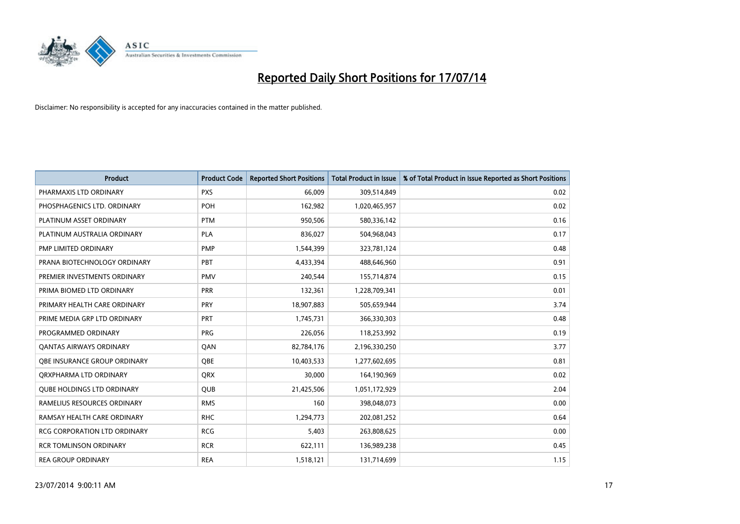

| <b>Product</b>                      | <b>Product Code</b> | <b>Reported Short Positions</b> | <b>Total Product in Issue</b> | % of Total Product in Issue Reported as Short Positions |
|-------------------------------------|---------------------|---------------------------------|-------------------------------|---------------------------------------------------------|
| PHARMAXIS LTD ORDINARY              | <b>PXS</b>          | 66,009                          | 309,514,849                   | 0.02                                                    |
| PHOSPHAGENICS LTD. ORDINARY         | POH                 | 162,982                         | 1,020,465,957                 | 0.02                                                    |
| PLATINUM ASSET ORDINARY             | <b>PTM</b>          | 950,506                         | 580,336,142                   | 0.16                                                    |
| PLATINUM AUSTRALIA ORDINARY         | <b>PLA</b>          | 836.027                         | 504,968,043                   | 0.17                                                    |
| PMP LIMITED ORDINARY                | <b>PMP</b>          | 1,544,399                       | 323,781,124                   | 0.48                                                    |
| PRANA BIOTECHNOLOGY ORDINARY        | PBT                 | 4,433,394                       | 488,646,960                   | 0.91                                                    |
| PREMIER INVESTMENTS ORDINARY        | <b>PMV</b>          | 240,544                         | 155,714,874                   | 0.15                                                    |
| PRIMA BIOMED LTD ORDINARY           | <b>PRR</b>          | 132,361                         | 1,228,709,341                 | 0.01                                                    |
| PRIMARY HEALTH CARE ORDINARY        | <b>PRY</b>          | 18,907,883                      | 505,659,944                   | 3.74                                                    |
| PRIME MEDIA GRP LTD ORDINARY        | PRT                 | 1,745,731                       | 366,330,303                   | 0.48                                                    |
| PROGRAMMED ORDINARY                 | <b>PRG</b>          | 226,056                         | 118,253,992                   | 0.19                                                    |
| <b>QANTAS AIRWAYS ORDINARY</b>      | QAN                 | 82,784,176                      | 2,196,330,250                 | 3.77                                                    |
| OBE INSURANCE GROUP ORDINARY        | <b>OBE</b>          | 10,403,533                      | 1,277,602,695                 | 0.81                                                    |
| ORXPHARMA LTD ORDINARY              | QRX                 | 30,000                          | 164,190,969                   | 0.02                                                    |
| <b>QUBE HOLDINGS LTD ORDINARY</b>   | <b>QUB</b>          | 21,425,506                      | 1,051,172,929                 | 2.04                                                    |
| RAMELIUS RESOURCES ORDINARY         | <b>RMS</b>          | 160                             | 398,048,073                   | 0.00                                                    |
| RAMSAY HEALTH CARE ORDINARY         | <b>RHC</b>          | 1,294,773                       | 202,081,252                   | 0.64                                                    |
| <b>RCG CORPORATION LTD ORDINARY</b> | <b>RCG</b>          | 5,403                           | 263,808,625                   | 0.00                                                    |
| <b>RCR TOMLINSON ORDINARY</b>       | <b>RCR</b>          | 622,111                         | 136,989,238                   | 0.45                                                    |
| <b>REA GROUP ORDINARY</b>           | <b>REA</b>          | 1,518,121                       | 131,714,699                   | 1.15                                                    |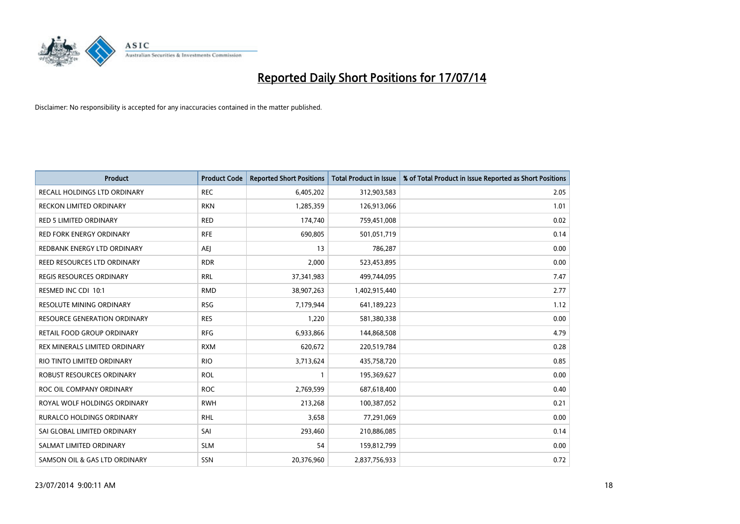

| <b>Product</b>                      | <b>Product Code</b> | <b>Reported Short Positions</b> | <b>Total Product in Issue</b> | % of Total Product in Issue Reported as Short Positions |
|-------------------------------------|---------------------|---------------------------------|-------------------------------|---------------------------------------------------------|
| <b>RECALL HOLDINGS LTD ORDINARY</b> | <b>REC</b>          | 6,405,202                       | 312,903,583                   | 2.05                                                    |
| RECKON LIMITED ORDINARY             | <b>RKN</b>          | 1,285,359                       | 126,913,066                   | 1.01                                                    |
| <b>RED 5 LIMITED ORDINARY</b>       | <b>RED</b>          | 174,740                         | 759,451,008                   | 0.02                                                    |
| <b>RED FORK ENERGY ORDINARY</b>     | <b>RFE</b>          | 690,805                         | 501,051,719                   | 0.14                                                    |
| REDBANK ENERGY LTD ORDINARY         | <b>AEI</b>          | 13                              | 786,287                       | 0.00                                                    |
| REED RESOURCES LTD ORDINARY         | <b>RDR</b>          | 2,000                           | 523,453,895                   | 0.00                                                    |
| REGIS RESOURCES ORDINARY            | <b>RRL</b>          | 37,341,983                      | 499,744,095                   | 7.47                                                    |
| RESMED INC CDI 10:1                 | <b>RMD</b>          | 38,907,263                      | 1,402,915,440                 | 2.77                                                    |
| <b>RESOLUTE MINING ORDINARY</b>     | <b>RSG</b>          | 7,179,944                       | 641,189,223                   | 1.12                                                    |
| <b>RESOURCE GENERATION ORDINARY</b> | <b>RES</b>          | 1,220                           | 581,380,338                   | 0.00                                                    |
| RETAIL FOOD GROUP ORDINARY          | <b>RFG</b>          | 6,933,866                       | 144,868,508                   | 4.79                                                    |
| REX MINERALS LIMITED ORDINARY       | <b>RXM</b>          | 620,672                         | 220,519,784                   | 0.28                                                    |
| RIO TINTO LIMITED ORDINARY          | <b>RIO</b>          | 3,713,624                       | 435,758,720                   | 0.85                                                    |
| <b>ROBUST RESOURCES ORDINARY</b>    | <b>ROL</b>          | 1                               | 195,369,627                   | 0.00                                                    |
| ROC OIL COMPANY ORDINARY            | <b>ROC</b>          | 2,769,599                       | 687,618,400                   | 0.40                                                    |
| ROYAL WOLF HOLDINGS ORDINARY        | <b>RWH</b>          | 213,268                         | 100,387,052                   | 0.21                                                    |
| RURALCO HOLDINGS ORDINARY           | <b>RHL</b>          | 3,658                           | 77,291,069                    | 0.00                                                    |
| SAI GLOBAL LIMITED ORDINARY         | SAI                 | 293,460                         | 210,886,085                   | 0.14                                                    |
| SALMAT LIMITED ORDINARY             | <b>SLM</b>          | 54                              | 159,812,799                   | 0.00                                                    |
| SAMSON OIL & GAS LTD ORDINARY       | SSN                 | 20,376,960                      | 2,837,756,933                 | 0.72                                                    |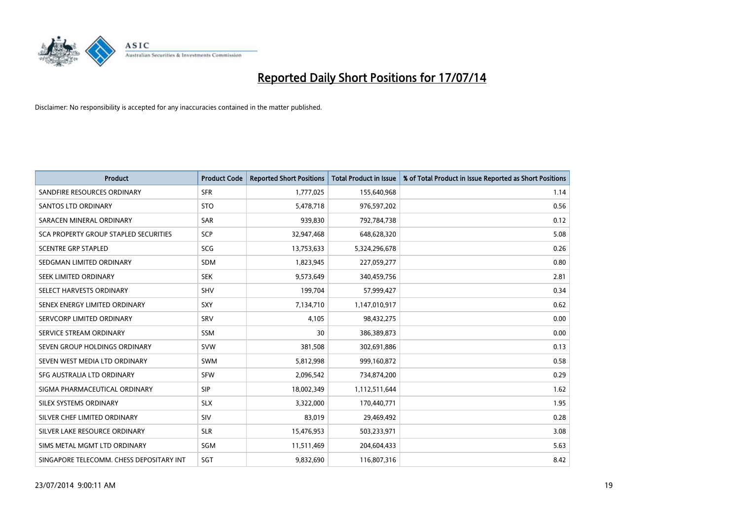

| <b>Product</b>                           | <b>Product Code</b> | <b>Reported Short Positions</b> | <b>Total Product in Issue</b> | % of Total Product in Issue Reported as Short Positions |
|------------------------------------------|---------------------|---------------------------------|-------------------------------|---------------------------------------------------------|
| SANDFIRE RESOURCES ORDINARY              | <b>SFR</b>          | 1,777,025                       | 155,640,968                   | 1.14                                                    |
| SANTOS LTD ORDINARY                      | <b>STO</b>          | 5,478,718                       | 976,597,202                   | 0.56                                                    |
| SARACEN MINERAL ORDINARY                 | <b>SAR</b>          | 939,830                         | 792,784,738                   | 0.12                                                    |
| SCA PROPERTY GROUP STAPLED SECURITIES    | <b>SCP</b>          | 32,947,468                      | 648,628,320                   | 5.08                                                    |
| <b>SCENTRE GRP STAPLED</b>               | <b>SCG</b>          | 13,753,633                      | 5,324,296,678                 | 0.26                                                    |
| SEDGMAN LIMITED ORDINARY                 | <b>SDM</b>          | 1,823,945                       | 227,059,277                   | 0.80                                                    |
| SEEK LIMITED ORDINARY                    | <b>SEK</b>          | 9,573,649                       | 340,459,756                   | 2.81                                                    |
| SELECT HARVESTS ORDINARY                 | <b>SHV</b>          | 199,704                         | 57,999,427                    | 0.34                                                    |
| SENEX ENERGY LIMITED ORDINARY            | <b>SXY</b>          | 7,134,710                       | 1,147,010,917                 | 0.62                                                    |
| SERVCORP LIMITED ORDINARY                | SRV                 | 4,105                           | 98,432,275                    | 0.00                                                    |
| SERVICE STREAM ORDINARY                  | SSM                 | 30                              | 386,389,873                   | 0.00                                                    |
| SEVEN GROUP HOLDINGS ORDINARY            | <b>SVW</b>          | 381,508                         | 302,691,886                   | 0.13                                                    |
| SEVEN WEST MEDIA LTD ORDINARY            | <b>SWM</b>          | 5,812,998                       | 999,160,872                   | 0.58                                                    |
| SFG AUSTRALIA LTD ORDINARY               | <b>SFW</b>          | 2,096,542                       | 734,874,200                   | 0.29                                                    |
| SIGMA PHARMACEUTICAL ORDINARY            | <b>SIP</b>          | 18,002,349                      | 1,112,511,644                 | 1.62                                                    |
| SILEX SYSTEMS ORDINARY                   | <b>SLX</b>          | 3,322,000                       | 170,440,771                   | 1.95                                                    |
| SILVER CHEF LIMITED ORDINARY             | SIV                 | 83,019                          | 29,469,492                    | 0.28                                                    |
| SILVER LAKE RESOURCE ORDINARY            | <b>SLR</b>          | 15,476,953                      | 503,233,971                   | 3.08                                                    |
| SIMS METAL MGMT LTD ORDINARY             | SGM                 | 11,511,469                      | 204,604,433                   | 5.63                                                    |
| SINGAPORE TELECOMM. CHESS DEPOSITARY INT | SGT                 | 9,832,690                       | 116,807,316                   | 8.42                                                    |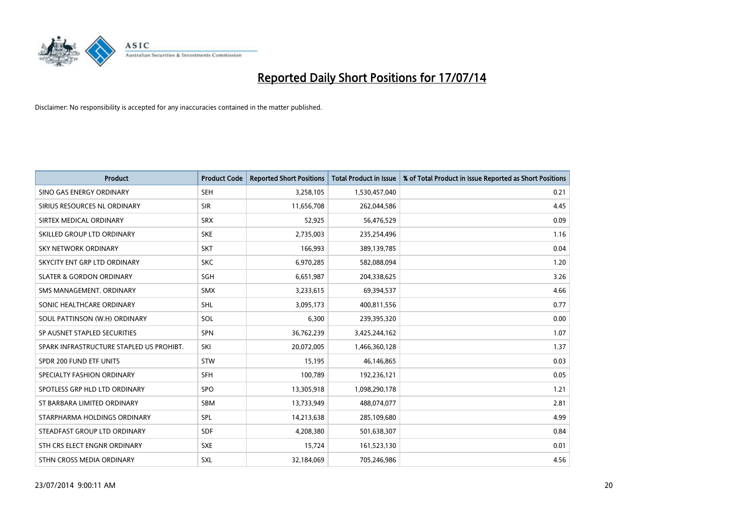

| <b>Product</b>                           | <b>Product Code</b> | <b>Reported Short Positions</b> | <b>Total Product in Issue</b> | % of Total Product in Issue Reported as Short Positions |
|------------------------------------------|---------------------|---------------------------------|-------------------------------|---------------------------------------------------------|
| SINO GAS ENERGY ORDINARY                 | <b>SEH</b>          | 3,258,105                       | 1,530,457,040                 | 0.21                                                    |
| SIRIUS RESOURCES NL ORDINARY             | <b>SIR</b>          | 11,656,708                      | 262,044,586                   | 4.45                                                    |
| SIRTEX MEDICAL ORDINARY                  | <b>SRX</b>          | 52,925                          | 56,476,529                    | 0.09                                                    |
| SKILLED GROUP LTD ORDINARY               | <b>SKE</b>          | 2,735,003                       | 235,254,496                   | 1.16                                                    |
| <b>SKY NETWORK ORDINARY</b>              | <b>SKT</b>          | 166,993                         | 389,139,785                   | 0.04                                                    |
| SKYCITY ENT GRP LTD ORDINARY             | <b>SKC</b>          | 6,970,285                       | 582,088,094                   | 1.20                                                    |
| <b>SLATER &amp; GORDON ORDINARY</b>      | SGH                 | 6,651,987                       | 204,338,625                   | 3.26                                                    |
| SMS MANAGEMENT, ORDINARY                 | <b>SMX</b>          | 3,233,615                       | 69,394,537                    | 4.66                                                    |
| SONIC HEALTHCARE ORDINARY                | <b>SHL</b>          | 3,095,173                       | 400,811,556                   | 0.77                                                    |
| SOUL PATTINSON (W.H) ORDINARY            | <b>SOL</b>          | 6,300                           | 239,395,320                   | 0.00                                                    |
| SP AUSNET STAPLED SECURITIES             | SPN                 | 36,762,239                      | 3,425,244,162                 | 1.07                                                    |
| SPARK INFRASTRUCTURE STAPLED US PROHIBT. | SKI                 | 20,072,005                      | 1,466,360,128                 | 1.37                                                    |
| SPDR 200 FUND ETF UNITS                  | <b>STW</b>          | 15,195                          | 46,146,865                    | 0.03                                                    |
| SPECIALTY FASHION ORDINARY               | SFH                 | 100,789                         | 192,236,121                   | 0.05                                                    |
| SPOTLESS GRP HLD LTD ORDINARY            | <b>SPO</b>          | 13,305,918                      | 1,098,290,178                 | 1.21                                                    |
| ST BARBARA LIMITED ORDINARY              | SBM                 | 13,733,949                      | 488,074,077                   | 2.81                                                    |
| STARPHARMA HOLDINGS ORDINARY             | SPL                 | 14,213,638                      | 285,109,680                   | 4.99                                                    |
| STEADFAST GROUP LTD ORDINARY             | <b>SDF</b>          | 4,208,380                       | 501,638,307                   | 0.84                                                    |
| STH CRS ELECT ENGNR ORDINARY             | <b>SXE</b>          | 15,724                          | 161,523,130                   | 0.01                                                    |
| STHN CROSS MEDIA ORDINARY                | SXL                 | 32,184,069                      | 705,246,986                   | 4.56                                                    |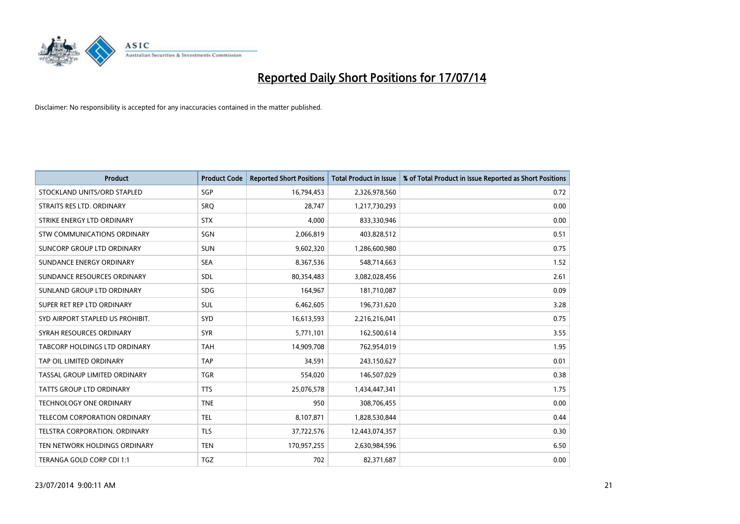

| <b>Product</b>                   | <b>Product Code</b> | <b>Reported Short Positions</b> | <b>Total Product in Issue</b> | % of Total Product in Issue Reported as Short Positions |
|----------------------------------|---------------------|---------------------------------|-------------------------------|---------------------------------------------------------|
| STOCKLAND UNITS/ORD STAPLED      | SGP                 | 16,794,453                      | 2,326,978,560                 | 0.72                                                    |
| STRAITS RES LTD. ORDINARY        | <b>SRQ</b>          | 28,747                          | 1,217,730,293                 | 0.00                                                    |
| STRIKE ENERGY LTD ORDINARY       | <b>STX</b>          | 4.000                           | 833,330,946                   | 0.00                                                    |
| STW COMMUNICATIONS ORDINARY      | SGN                 | 2,066,819                       | 403,828,512                   | 0.51                                                    |
| SUNCORP GROUP LTD ORDINARY       | <b>SUN</b>          | 9,602,320                       | 1,286,600,980                 | 0.75                                                    |
| SUNDANCE ENERGY ORDINARY         | <b>SEA</b>          | 8,367,536                       | 548,714,663                   | 1.52                                                    |
| SUNDANCE RESOURCES ORDINARY      | <b>SDL</b>          | 80,354,483                      | 3,082,028,456                 | 2.61                                                    |
| SUNLAND GROUP LTD ORDINARY       | <b>SDG</b>          | 164,967                         | 181,710,087                   | 0.09                                                    |
| SUPER RET REP LTD ORDINARY       | <b>SUL</b>          | 6,462,605                       | 196,731,620                   | 3.28                                                    |
| SYD AIRPORT STAPLED US PROHIBIT. | <b>SYD</b>          | 16,613,593                      | 2,216,216,041                 | 0.75                                                    |
| SYRAH RESOURCES ORDINARY         | <b>SYR</b>          | 5,771,101                       | 162,500,614                   | 3.55                                                    |
| TABCORP HOLDINGS LTD ORDINARY    | <b>TAH</b>          | 14,909,708                      | 762,954,019                   | 1.95                                                    |
| TAP OIL LIMITED ORDINARY         | <b>TAP</b>          | 34,591                          | 243,150,627                   | 0.01                                                    |
| TASSAL GROUP LIMITED ORDINARY    | <b>TGR</b>          | 554,020                         | 146,507,029                   | 0.38                                                    |
| <b>TATTS GROUP LTD ORDINARY</b>  | <b>TTS</b>          | 25,076,578                      | 1,434,447,341                 | 1.75                                                    |
| <b>TECHNOLOGY ONE ORDINARY</b>   | <b>TNE</b>          | 950                             | 308,706,455                   | 0.00                                                    |
| TELECOM CORPORATION ORDINARY     | <b>TEL</b>          | 8,107,871                       | 1,828,530,844                 | 0.44                                                    |
| TELSTRA CORPORATION, ORDINARY    | <b>TLS</b>          | 37,722,576                      | 12,443,074,357                | 0.30                                                    |
| TEN NETWORK HOLDINGS ORDINARY    | <b>TEN</b>          | 170,957,255                     | 2,630,984,596                 | 6.50                                                    |
| TERANGA GOLD CORP CDI 1:1        | TGZ                 | 702                             | 82,371,687                    | 0.00                                                    |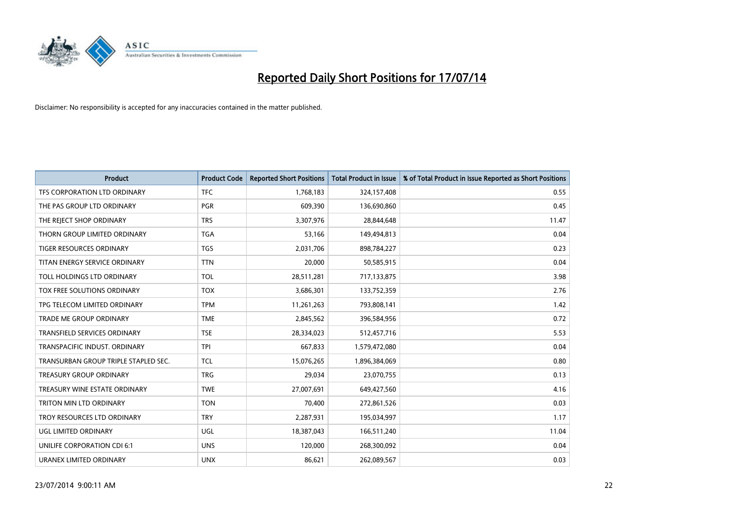

| <b>Product</b>                       | <b>Product Code</b> | <b>Reported Short Positions</b> | <b>Total Product in Issue</b> | % of Total Product in Issue Reported as Short Positions |
|--------------------------------------|---------------------|---------------------------------|-------------------------------|---------------------------------------------------------|
| TFS CORPORATION LTD ORDINARY         | <b>TFC</b>          | 1,768,183                       | 324,157,408                   | 0.55                                                    |
| THE PAS GROUP LTD ORDINARY           | <b>PGR</b>          | 609,390                         | 136,690,860                   | 0.45                                                    |
| THE REJECT SHOP ORDINARY             | <b>TRS</b>          | 3,307,976                       | 28,844,648                    | 11.47                                                   |
| THORN GROUP LIMITED ORDINARY         | <b>TGA</b>          | 53,166                          | 149,494,813                   | 0.04                                                    |
| <b>TIGER RESOURCES ORDINARY</b>      | <b>TGS</b>          | 2,031,706                       | 898,784,227                   | 0.23                                                    |
| TITAN ENERGY SERVICE ORDINARY        | <b>TTN</b>          | 20,000                          | 50,585,915                    | 0.04                                                    |
| TOLL HOLDINGS LTD ORDINARY           | <b>TOL</b>          | 28,511,281                      | 717,133,875                   | 3.98                                                    |
| TOX FREE SOLUTIONS ORDINARY          | <b>TOX</b>          | 3,686,301                       | 133,752,359                   | 2.76                                                    |
| TPG TELECOM LIMITED ORDINARY         | <b>TPM</b>          | 11,261,263                      | 793,808,141                   | 1.42                                                    |
| <b>TRADE ME GROUP ORDINARY</b>       | <b>TME</b>          | 2,845,562                       | 396,584,956                   | 0.72                                                    |
| TRANSFIELD SERVICES ORDINARY         | <b>TSE</b>          | 28,334,023                      | 512,457,716                   | 5.53                                                    |
| TRANSPACIFIC INDUST, ORDINARY        | <b>TPI</b>          | 667,833                         | 1,579,472,080                 | 0.04                                                    |
| TRANSURBAN GROUP TRIPLE STAPLED SEC. | <b>TCL</b>          | 15,076,265                      | 1,896,384,069                 | 0.80                                                    |
| <b>TREASURY GROUP ORDINARY</b>       | <b>TRG</b>          | 29,034                          | 23,070,755                    | 0.13                                                    |
| TREASURY WINE ESTATE ORDINARY        | <b>TWE</b>          | 27,007,691                      | 649,427,560                   | 4.16                                                    |
| TRITON MIN LTD ORDINARY              | <b>TON</b>          | 70,400                          | 272,861,526                   | 0.03                                                    |
| TROY RESOURCES LTD ORDINARY          | <b>TRY</b>          | 2,287,931                       | 195,034,997                   | 1.17                                                    |
| UGL LIMITED ORDINARY                 | UGL                 | 18,387,043                      | 166,511,240                   | 11.04                                                   |
| UNILIFE CORPORATION CDI 6:1          | <b>UNS</b>          | 120,000                         | 268,300,092                   | 0.04                                                    |
| URANEX LIMITED ORDINARY              | <b>UNX</b>          | 86,621                          | 262,089,567                   | 0.03                                                    |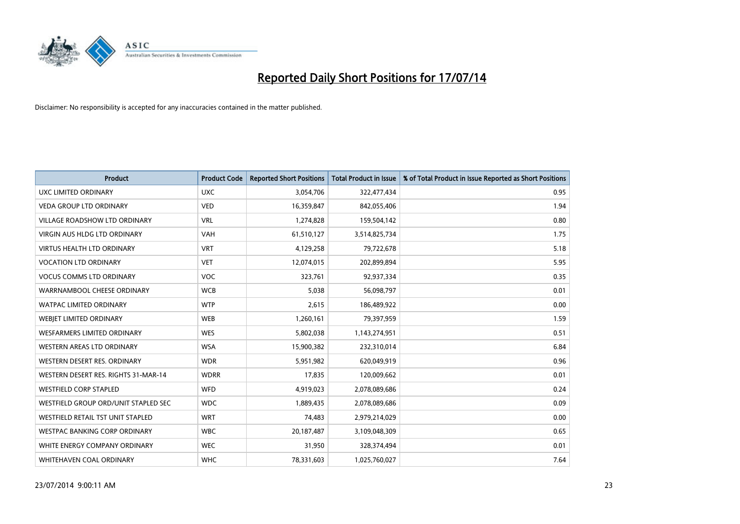

| <b>Product</b>                       | <b>Product Code</b> | <b>Reported Short Positions</b> | <b>Total Product in Issue</b> | % of Total Product in Issue Reported as Short Positions |
|--------------------------------------|---------------------|---------------------------------|-------------------------------|---------------------------------------------------------|
| <b>UXC LIMITED ORDINARY</b>          | <b>UXC</b>          | 3,054,706                       | 322,477,434                   | 0.95                                                    |
| <b>VEDA GROUP LTD ORDINARY</b>       | <b>VED</b>          | 16,359,847                      | 842,055,406                   | 1.94                                                    |
| <b>VILLAGE ROADSHOW LTD ORDINARY</b> | <b>VRL</b>          | 1,274,828                       | 159,504,142                   | 0.80                                                    |
| <b>VIRGIN AUS HLDG LTD ORDINARY</b>  | <b>VAH</b>          | 61,510,127                      | 3,514,825,734                 | 1.75                                                    |
| <b>VIRTUS HEALTH LTD ORDINARY</b>    | <b>VRT</b>          | 4,129,258                       | 79,722,678                    | 5.18                                                    |
| <b>VOCATION LTD ORDINARY</b>         | <b>VET</b>          | 12,074,015                      | 202,899,894                   | 5.95                                                    |
| <b>VOCUS COMMS LTD ORDINARY</b>      | <b>VOC</b>          | 323,761                         | 92,937,334                    | 0.35                                                    |
| WARRNAMBOOL CHEESE ORDINARY          | <b>WCB</b>          | 5,038                           | 56,098,797                    | 0.01                                                    |
| WATPAC LIMITED ORDINARY              | <b>WTP</b>          | 2,615                           | 186,489,922                   | 0.00                                                    |
| WEBJET LIMITED ORDINARY              | <b>WEB</b>          | 1,260,161                       | 79,397,959                    | 1.59                                                    |
| WESFARMERS LIMITED ORDINARY          | <b>WES</b>          | 5,802,038                       | 1,143,274,951                 | 0.51                                                    |
| <b>WESTERN AREAS LTD ORDINARY</b>    | <b>WSA</b>          | 15,900,382                      | 232,310,014                   | 6.84                                                    |
| WESTERN DESERT RES. ORDINARY         | <b>WDR</b>          | 5,951,982                       | 620,049,919                   | 0.96                                                    |
| WESTERN DESERT RES. RIGHTS 31-MAR-14 | <b>WDRR</b>         | 17,835                          | 120,009,662                   | 0.01                                                    |
| <b>WESTFIELD CORP STAPLED</b>        | <b>WFD</b>          | 4,919,023                       | 2,078,089,686                 | 0.24                                                    |
| WESTFIELD GROUP ORD/UNIT STAPLED SEC | <b>WDC</b>          | 1,889,435                       | 2,078,089,686                 | 0.09                                                    |
| WESTFIELD RETAIL TST UNIT STAPLED    | <b>WRT</b>          | 74,483                          | 2,979,214,029                 | 0.00                                                    |
| <b>WESTPAC BANKING CORP ORDINARY</b> | <b>WBC</b>          | 20,187,487                      | 3,109,048,309                 | 0.65                                                    |
| WHITE ENERGY COMPANY ORDINARY        | <b>WEC</b>          | 31,950                          | 328,374,494                   | 0.01                                                    |
| WHITEHAVEN COAL ORDINARY             | <b>WHC</b>          | 78,331,603                      | 1,025,760,027                 | 7.64                                                    |